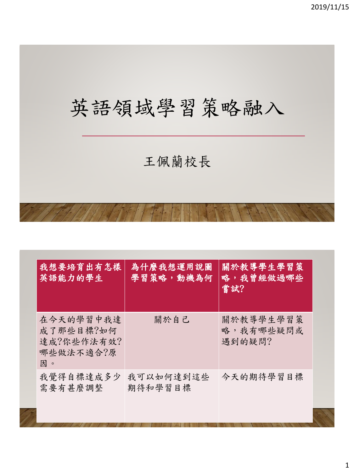# 英語領域學習策略融入 王佩蘭校長

| 我想要培育出有怎樣<br>英語能力的學生                                    | 為什麼我想運用說圖<br>學習策略,動機為何 | 關於教導學生學習策<br>略,我曾經做過哪些<br>嘗試?    |  |
|---------------------------------------------------------|------------------------|----------------------------------|--|
| 在今天的學習中我達<br>成了那些目標?如何<br>達成?你些作法有效?<br>哪些做法不適合?原<br>因。 | 關於自己                   | 關於教導學生學習策<br>略,我有哪些疑問或<br>遇到的疑問? |  |
| 我覺得自標達成多少<br>需要有甚麼調整                                    | 我可以如何達到這些<br>期待和學習目標   | 今天的期待學習目標                        |  |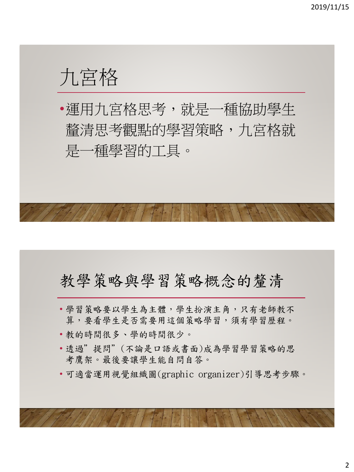# 九宮格

•運用九宮格思考,就是一種協助學生 釐清思考觀點的學習策略,九宮格就 是一種學習的工具。

# 教學策略與學習策略概念的釐清

- 學習策略要以學生為主體,學生扮演主角,只有老師教不 算,要看學生是否需要用這個策略學習,須有學習歷程。
- 教的時間很多、學的時間很少。
- 透過"提問"(不論是口語或書面)成為學習學習策略的思 考鷹架。最後要讓學生能自問自答。
- 可適當運用視覺組織圖(graphic organizer)引導思考步驟。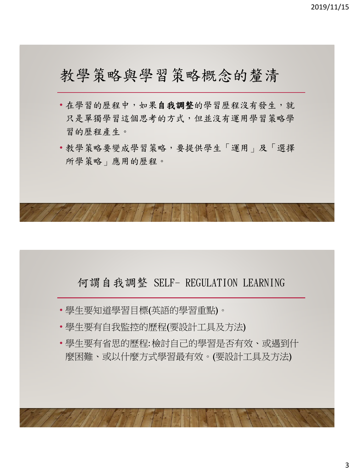# 教學策略與學習策略概念的釐清

- 在學習的歷程中,如果自我調整的學習歷程沒有發生,就 只是單獨學習這個思考的方式,但並沒有運用學習策略學 習的歷程產生。
- 教學策略要變成學習策略,要提供學生「運用」及「選擇 所學策略」應用的歷程。

#### 何謂自我調整 SELF- REGULATION LEARNING

- 學生要知道學習目標(英語的學習重點)。
- 學生要有自我監控的歷程(要設計工具及方法)
- 學生要有省思的歷程:檢討自己的學習是否有效、或遇到什 麼困難、或以什麼方式學習最有效。(要設計工具及方法)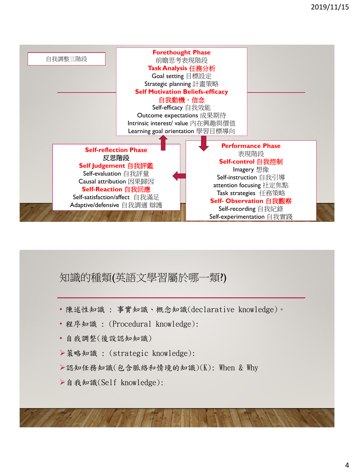

#### 知識的種類(英語文學習屬於哪一類?)

- 陳述性知識 : 事實知識、概念知識(declarative knowledge)。
- 程序知識 : (Procedural knowledge):
- 自我調整(後設認知知識)
- ▶策略知識: (strategic knowledge):
- ▶認知任務知識(包含脈絡和情境的知識)(K): When & Why
- 自我知識(Self knowledge):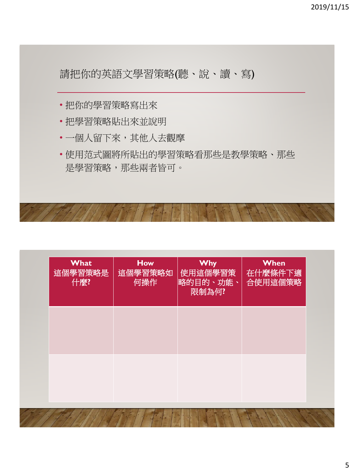請把你的英語文學習策略(聽、說、讀、寫)

- 把你的學習策略寫出來
- 把學習策略貼出來並說明
- 一個人留下來,其他人去觀摩
- 使用范式圖將所貼出的學習策略看那些是教學策略、那些 是學習策略,那些兩者皆可。

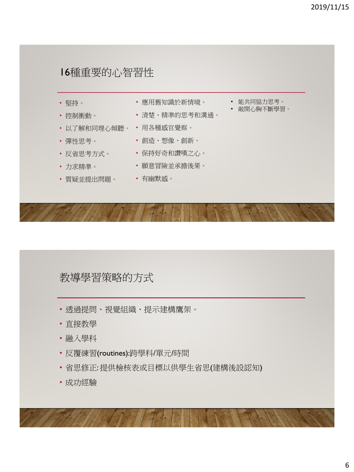#### 16種重要的心智習性

- 堅持。 • 控制衝動。 • 以了解和同理心傾聽。 • 用各種感官覺察。 • 彈性思考。 • 反省思考方式。 • 保持好奇和讚嘆之心。 • 應用舊知識於新情境。 • 清楚、精準的思考和溝通。 **• 創造、想像、創新。** • 能共同協力思考。 • 敞開心胸不斷學習。
- 力求精準。
- 質疑並提出問題。 有幽默感。
- 願意冒險並承擔後果。
	-

#### 教導學習策略的方式

- 透過提問、視覺組織、提示建構鷹架。
- 直接教學
- 融入學科
- 反覆練習(routines):跨學科/單元/時間
- 省思修正: 提供檢核表或目標以供學生省思(建構後設認知)
- 成功經驗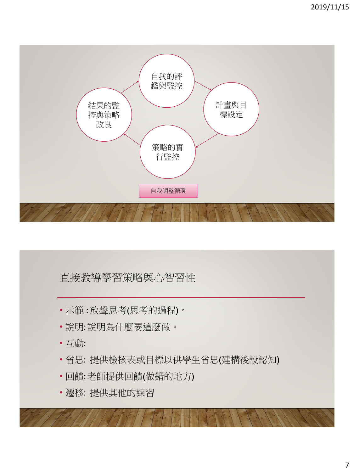

#### 直接教導學習策略與心智習性

- 示範 : 放聲思考(思考的過程)。
- 說明:說明為什麼要這麼做。
- 互動:
- 省思: 提供檢核表或目標以供學生省思(建構後設認知)
- 回饋:老師提供回饋(做錯的地方)
- 遷移: 提供其他的練習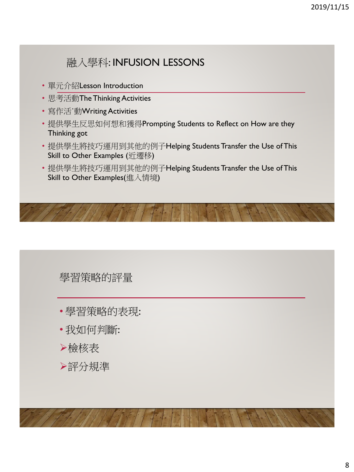### 融入學科: INFUSION LESSONS

- 單元介紹Lesson Introduction
- 思考活動The Thinking Activities
- 寫作活˙動Writing Activities
- 提供學生反思如何想和獲得Prompting Students to Reflect on How are they Thinking got
- 提供學生將技巧運用到其他的例子Helping Students Transfer the Use of This Skill to Other Examples (近遷移)
- 提供學生將技巧運用到其他的例子Helping Students Transfer the Use of This Skill to Other Examples(進入情境)

#### 學習策略的評量

- 學習策略的表現:
- 我如何判斷:
- 檢核表
- 評分規準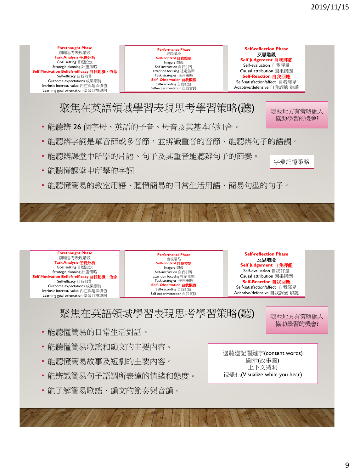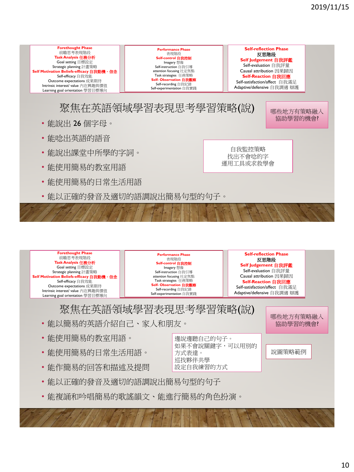



邊說邊聽自己的句子。

方式表達。 巡找夥伴共學 設定自我練習的方式

如果不會說關鍵字,可以用別的

- 能使用簡易的教室用語。
- 能使用簡易的日常生活用語。
- 能作簡易的回答和描述及提問
- 能以正確的發音及適切的語調說出簡易句型的句子
- 能複誦和吟唱簡易的歌謠韻文、能進行簡易的角色扮演。

說圖策略範例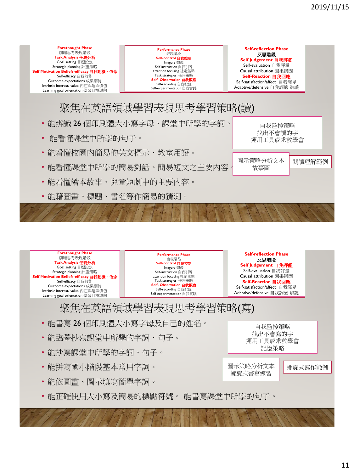